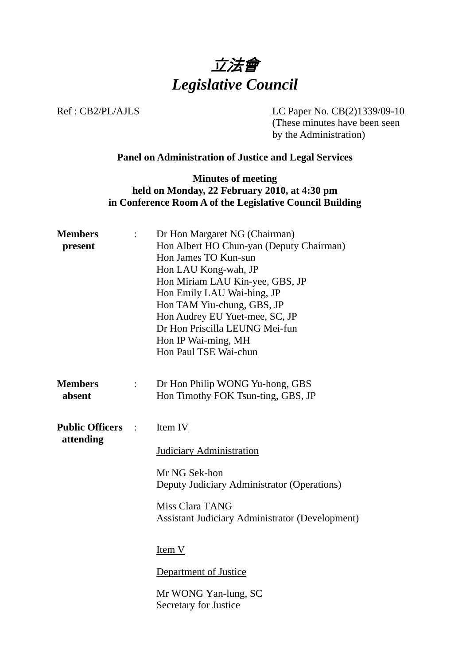

Ref : CB2/PL/AJLS LC Paper No. CB(2)1339/09-10

(These minutes have been seen by the Administration)

## **Panel on Administration of Justice and Legal Services**

## **Minutes of meeting held on Monday, 22 February 2010, at 4:30 pm in Conference Room A of the Legislative Council Building**

|                      | Dr Hon Margaret NG (Chairman)<br>Hon Albert HO Chun-yan (Deputy Chairman)<br>Hon James TO Kun-sun<br>Hon LAU Kong-wah, JP<br>Hon Miriam LAU Kin-yee, GBS, JP<br>Hon Emily LAU Wai-hing, JP<br>Hon TAM Yiu-chung, GBS, JP<br>Hon Audrey EU Yuet-mee, SC, JP<br>Dr Hon Priscilla LEUNG Mei-fun<br>Hon IP Wai-ming, MH<br>Hon Paul TSE Wai-chun |
|----------------------|----------------------------------------------------------------------------------------------------------------------------------------------------------------------------------------------------------------------------------------------------------------------------------------------------------------------------------------------|
| $\ddot{\cdot}$       | Dr Hon Philip WONG Yu-hong, GBS<br>Hon Timothy FOK Tsun-ting, GBS, JP                                                                                                                                                                                                                                                                        |
| $\ddot{\phantom{0}}$ | Item IV<br><b>Judiciary Administration</b><br>Mr NG Sek-hon<br>Deputy Judiciary Administrator (Operations)<br>Miss Clara TANG<br><b>Assistant Judiciary Administrator (Development)</b><br>Item V<br>Department of Justice<br>Mr WONG Yan-lung, SC<br>Secretary for Justice                                                                  |
|                      |                                                                                                                                                                                                                                                                                                                                              |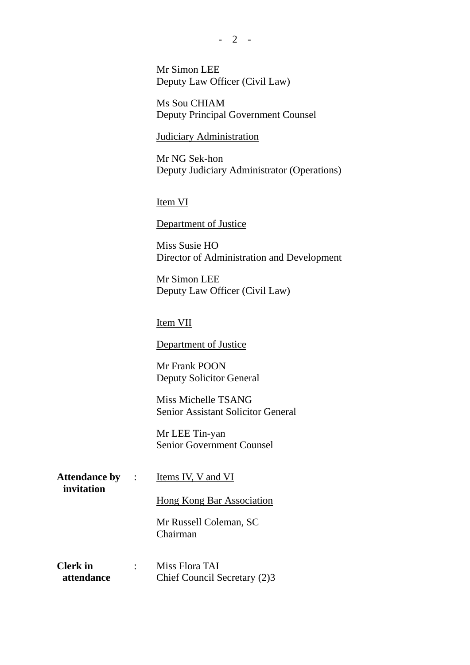Mr Simon LEE

Deputy Law Officer (Civil Law)

 Ms Sou CHIAM Deputy Principal Government Counsel

Judiciary Administration

 Mr NG Sek-hon Deputy Judiciary Administrator (Operations)

Item VI

Department of Justice

 Miss Susie HO Director of Administration and Development

 Mr Simon LEE Deputy Law Officer (Civil Law)

Item VII

Department of Justice

 Mr Frank POON Deputy Solicitor General

 Miss Michelle TSANG Senior Assistant Solicitor General

 Mr LEE Tin-yan Senior Government Counsel

**Attendance by invitation** 

Items IV, V and VI

Hong Kong Bar Association

 Mr Russell Coleman, SC Chairman

**Clerk in attendance**  : Miss Flora TAI Chief Council Secretary (2)3

 $- 2 -$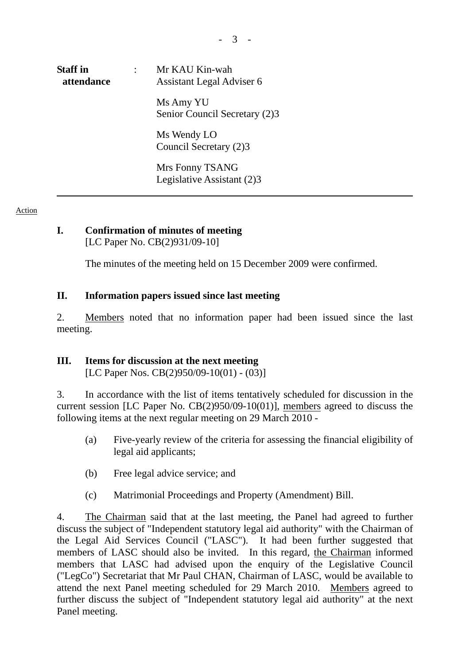| <b>Staff</b> in<br>attendance | Mr KAU Kin-wah<br>Assistant Legal Adviser 6 |
|-------------------------------|---------------------------------------------|
|                               | Ms Amy YU<br>Senior Council Secretary (2)3  |
|                               | Ms Wendy LO<br>Council Secretary (2)3       |
|                               | Mrs Fonny TSANG                             |

Mrs Fonny TSANG Legislative Assistant (2)3

#### Action

#### **I. Confirmation of minutes of meeting**  [LC Paper No. CB(2)931/09-10]

The minutes of the meeting held on 15 December 2009 were confirmed.

### **II. Information papers issued since last meeting**

2. Members noted that no information paper had been issued since the last meeting.

## **III. Items for discussion at the next meeting**

[LC Paper Nos. CB(2)950/09-10(01) - (03)]

3. In accordance with the list of items tentatively scheduled for discussion in the current session [LC Paper No. CB(2)950/09-10(01)], members agreed to discuss the following items at the next regular meeting on 29 March 2010 -

- (a) Five-yearly review of the criteria for assessing the financial eligibility of legal aid applicants;
- (b) Free legal advice service; and
- (c) Matrimonial Proceedings and Property (Amendment) Bill.

4. The Chairman said that at the last meeting, the Panel had agreed to further discuss the subject of "Independent statutory legal aid authority" with the Chairman of the Legal Aid Services Council ("LASC"). It had been further suggested that members of LASC should also be invited. In this regard, the Chairman informed members that LASC had advised upon the enquiry of the Legislative Council ("LegCo") Secretariat that Mr Paul CHAN, Chairman of LASC, would be available to attend the next Panel meeting scheduled for 29 March 2010. Members agreed to further discuss the subject of "Independent statutory legal aid authority" at the next Panel meeting.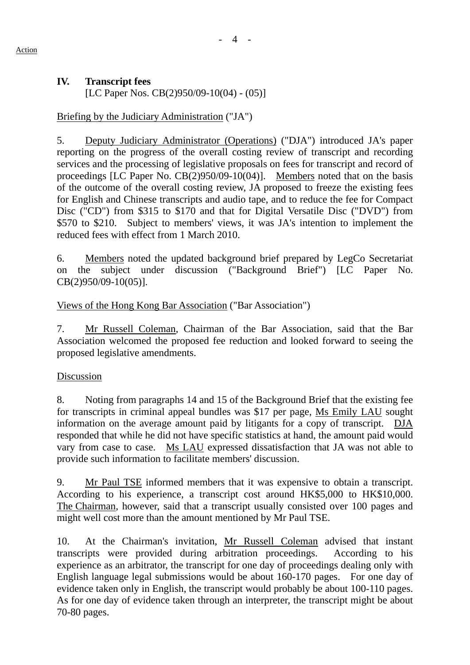# **IV. Transcript fees**

[LC Paper Nos. CB(2)950/09-10(04) - (05)]

# Briefing by the Judiciary Administration ("JA")

5. Deputy Judiciary Administrator (Operations) ("DJA") introduced JA's paper reporting on the progress of the overall costing review of transcript and recording services and the processing of legislative proposals on fees for transcript and record of proceedings [LC Paper No. CB(2)950/09-10(04)]. Members noted that on the basis of the outcome of the overall costing review, JA proposed to freeze the existing fees for English and Chinese transcripts and audio tape, and to reduce the fee for Compact Disc ("CD") from \$315 to \$170 and that for Digital Versatile Disc ("DVD") from \$570 to \$210. Subject to members' views, it was JA's intention to implement the reduced fees with effect from 1 March 2010.

6. Members noted the updated background brief prepared by LegCo Secretariat on the subject under discussion ("Background Brief") [LC Paper No. CB(2)950/09-10(05)].

# Views of the Hong Kong Bar Association ("Bar Association")

7. Mr Russell Coleman, Chairman of the Bar Association, said that the Bar Association welcomed the proposed fee reduction and looked forward to seeing the proposed legislative amendments.

## Discussion

8. Noting from paragraphs 14 and 15 of the Background Brief that the existing fee for transcripts in criminal appeal bundles was \$17 per page, Ms Emily LAU sought information on the average amount paid by litigants for a copy of transcript. DJA responded that while he did not have specific statistics at hand, the amount paid would vary from case to case. Ms LAU expressed dissatisfaction that JA was not able to provide such information to facilitate members' discussion.

9. Mr Paul TSE informed members that it was expensive to obtain a transcript. According to his experience, a transcript cost around HK\$5,000 to HK\$10,000. The Chairman, however, said that a transcript usually consisted over 100 pages and might well cost more than the amount mentioned by Mr Paul TSE.

10. At the Chairman's invitation, Mr Russell Coleman advised that instant transcripts were provided during arbitration proceedings. According to his experience as an arbitrator, the transcript for one day of proceedings dealing only with English language legal submissions would be about 160-170 pages. For one day of evidence taken only in English, the transcript would probably be about 100-110 pages. As for one day of evidence taken through an interpreter, the transcript might be about 70-80 pages.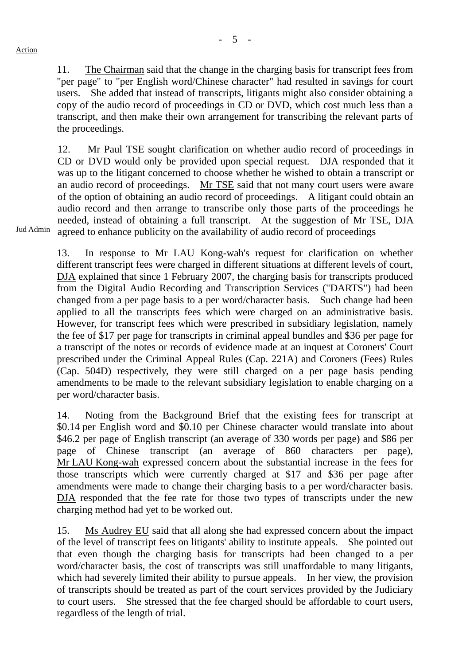- 5 -

11. The Chairman said that the change in the charging basis for transcript fees from "per page" to "per English word/Chinese character" had resulted in savings for court users. She added that instead of transcripts, litigants might also consider obtaining a copy of the audio record of proceedings in CD or DVD, which cost much less than a transcript, and then make their own arrangement for transcribing the relevant parts of the proceedings.

12. Mr Paul TSE sought clarification on whether audio record of proceedings in CD or DVD would only be provided upon special request. DJA responded that it was up to the litigant concerned to choose whether he wished to obtain a transcript or an audio record of proceedings. Mr TSE said that not many court users were aware of the option of obtaining an audio record of proceedings. A litigant could obtain an audio record and then arrange to transcribe only those parts of the proceedings he needed, instead of obtaining a full transcript. At the suggestion of Mr TSE, DJA agreed to enhance publicity on the availability of audio record of proceedings

Jud Admin

13. In response to Mr LAU Kong-wah's request for clarification on whether different transcript fees were charged in different situations at different levels of court, DJA explained that since 1 February 2007, the charging basis for transcripts produced from the Digital Audio Recording and Transcription Services ("DARTS") had been changed from a per page basis to a per word/character basis. Such change had been applied to all the transcripts fees which were charged on an administrative basis. However, for transcript fees which were prescribed in subsidiary legislation, namely the fee of \$17 per page for transcripts in criminal appeal bundles and \$36 per page for a transcript of the notes or records of evidence made at an inquest at Coroners' Court prescribed under the Criminal Appeal Rules (Cap. 221A) and Coroners (Fees) Rules (Cap. 504D) respectively, they were still charged on a per page basis pending amendments to be made to the relevant subsidiary legislation to enable charging on a per word/character basis.

14. Noting from the Background Brief that the existing fees for transcript at \$0.14 per English word and \$0.10 per Chinese character would translate into about \$46.2 per page of English transcript (an average of 330 words per page) and \$86 per page of Chinese transcript (an average of 860 characters per page), Mr LAU Kong-wah expressed concern about the substantial increase in the fees for those transcripts which were currently charged at \$17 and \$36 per page after amendments were made to change their charging basis to a per word/character basis. DJA responded that the fee rate for those two types of transcripts under the new charging method had yet to be worked out.

15. Ms Audrey EU said that all along she had expressed concern about the impact of the level of transcript fees on litigants' ability to institute appeals. She pointed out that even though the charging basis for transcripts had been changed to a per word/character basis, the cost of transcripts was still unaffordable to many litigants, which had severely limited their ability to pursue appeals. In her view, the provision of transcripts should be treated as part of the court services provided by the Judiciary to court users. She stressed that the fee charged should be affordable to court users, regardless of the length of trial.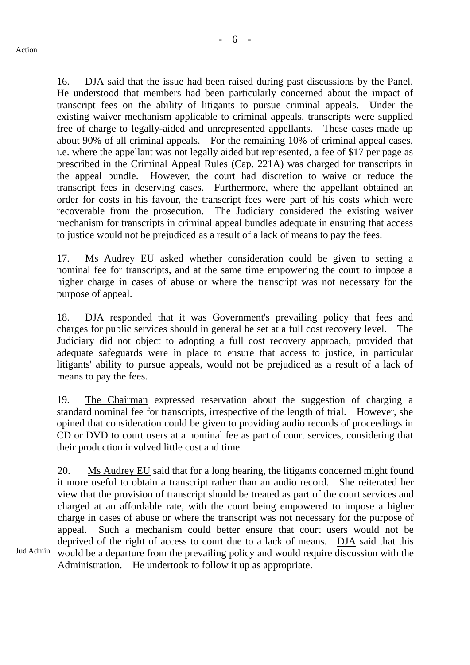16. DJA said that the issue had been raised during past discussions by the Panel. He understood that members had been particularly concerned about the impact of transcript fees on the ability of litigants to pursue criminal appeals. Under the existing waiver mechanism applicable to criminal appeals, transcripts were supplied free of charge to legally-aided and unrepresented appellants. These cases made up about 90% of all criminal appeals. For the remaining 10% of criminal appeal cases, i.e. where the appellant was not legally aided but represented, a fee of \$17 per page as prescribed in the Criminal Appeal Rules (Cap. 221A) was charged for transcripts in the appeal bundle. However, the court had discretion to waive or reduce the transcript fees in deserving cases. Furthermore, where the appellant obtained an order for costs in his favour, the transcript fees were part of his costs which were recoverable from the prosecution. The Judiciary considered the existing waiver mechanism for transcripts in criminal appeal bundles adequate in ensuring that access to justice would not be prejudiced as a result of a lack of means to pay the fees.

17. Ms Audrey EU asked whether consideration could be given to setting a nominal fee for transcripts, and at the same time empowering the court to impose a higher charge in cases of abuse or where the transcript was not necessary for the purpose of appeal.

18. DJA responded that it was Government's prevailing policy that fees and charges for public services should in general be set at a full cost recovery level. The Judiciary did not object to adopting a full cost recovery approach, provided that adequate safeguards were in place to ensure that access to justice, in particular litigants' ability to pursue appeals, would not be prejudiced as a result of a lack of means to pay the fees.

19. The Chairman expressed reservation about the suggestion of charging a standard nominal fee for transcripts, irrespective of the length of trial. However, she opined that consideration could be given to providing audio records of proceedings in CD or DVD to court users at a nominal fee as part of court services, considering that their production involved little cost and time.

20. Ms Audrey EU said that for a long hearing, the litigants concerned might found it more useful to obtain a transcript rather than an audio record. She reiterated her view that the provision of transcript should be treated as part of the court services and charged at an affordable rate, with the court being empowered to impose a higher charge in cases of abuse or where the transcript was not necessary for the purpose of appeal. Such a mechanism could better ensure that court users would not be deprived of the right of access to court due to a lack of means. DJA said that this would be a departure from the prevailing policy and would require discussion with the Administration. He undertook to follow it up as appropriate.

Jud Admin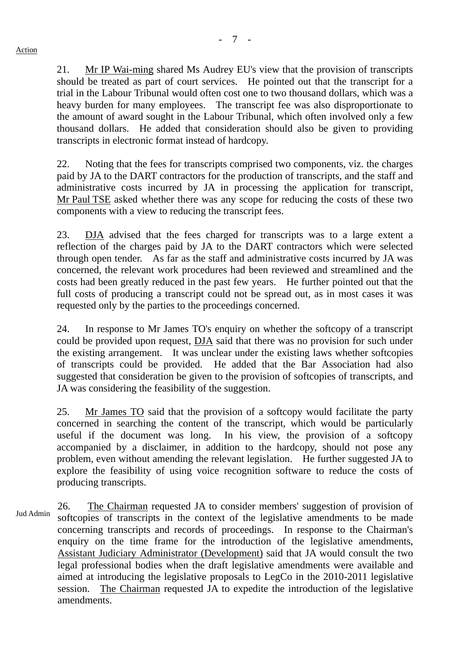21. Mr IP Wai-ming shared Ms Audrey EU's view that the provision of transcripts should be treated as part of court services. He pointed out that the transcript for a trial in the Labour Tribunal would often cost one to two thousand dollars, which was a heavy burden for many employees. The transcript fee was also disproportionate to the amount of award sought in the Labour Tribunal, which often involved only a few thousand dollars. He added that consideration should also be given to providing transcripts in electronic format instead of hardcopy.

22. Noting that the fees for transcripts comprised two components, viz. the charges paid by JA to the DART contractors for the production of transcripts, and the staff and administrative costs incurred by JA in processing the application for transcript, Mr Paul TSE asked whether there was any scope for reducing the costs of these two components with a view to reducing the transcript fees.

23. DJA advised that the fees charged for transcripts was to a large extent a reflection of the charges paid by JA to the DART contractors which were selected through open tender. As far as the staff and administrative costs incurred by JA was concerned, the relevant work procedures had been reviewed and streamlined and the costs had been greatly reduced in the past few years. He further pointed out that the full costs of producing a transcript could not be spread out, as in most cases it was requested only by the parties to the proceedings concerned.

24. In response to Mr James TO's enquiry on whether the softcopy of a transcript could be provided upon request, DJA said that there was no provision for such under the existing arrangement. It was unclear under the existing laws whether softcopies of transcripts could be provided. He added that the Bar Association had also suggested that consideration be given to the provision of softcopies of transcripts, and JA was considering the feasibility of the suggestion.

25. Mr James TO said that the provision of a softcopy would facilitate the party concerned in searching the content of the transcript, which would be particularly useful if the document was long. In his view, the provision of a softcopy accompanied by a disclaimer, in addition to the hardcopy, should not pose any problem, even without amending the relevant legislation. He further suggested JA to explore the feasibility of using voice recognition software to reduce the costs of producing transcripts.

Jud Admin 26. The Chairman requested JA to consider members' suggestion of provision of softcopies of transcripts in the context of the legislative amendments to be made concerning transcripts and records of proceedings. In response to the Chairman's enquiry on the time frame for the introduction of the legislative amendments, Assistant Judiciary Administrator (Development) said that JA would consult the two legal professional bodies when the draft legislative amendments were available and aimed at introducing the legislative proposals to LegCo in the 2010-2011 legislative session. The Chairman requested JA to expedite the introduction of the legislative amendments.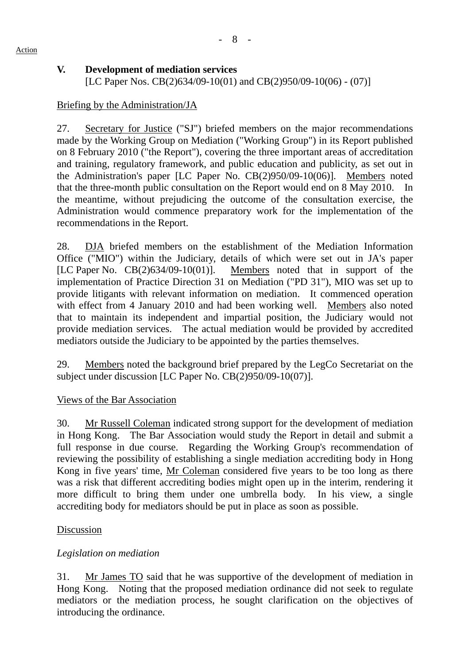### **V. Development of mediation services**

[LC Paper Nos. CB(2)634/09-10(01) and CB(2)950/09-10(06) - (07)]

### Briefing by the Administration/JA

27. Secretary for Justice ("SJ") briefed members on the major recommendations made by the Working Group on Mediation ("Working Group") in its Report published on 8 February 2010 ("the Report"), covering the three important areas of accreditation and training, regulatory framework, and public education and publicity, as set out in the Administration's paper [LC Paper No. CB(2)950/09-10(06)]. Members noted that the three-month public consultation on the Report would end on 8 May 2010. In the meantime, without prejudicing the outcome of the consultation exercise, the Administration would commence preparatory work for the implementation of the recommendations in the Report.

28. DJA briefed members on the establishment of the Mediation Information Office ("MIO") within the Judiciary, details of which were set out in JA's paper [LC Paper No. CB(2)634/09-10(01)]. Members noted that in support of the implementation of Practice Direction 31 on Mediation ("PD 31"), MIO was set up to provide litigants with relevant information on mediation. It commenced operation with effect from 4 January 2010 and had been working well. Members also noted that to maintain its independent and impartial position, the Judiciary would not provide mediation services. The actual mediation would be provided by accredited mediators outside the Judiciary to be appointed by the parties themselves.

29. Members noted the background brief prepared by the LegCo Secretariat on the subject under discussion [LC Paper No. CB(2)950/09-10(07)].

#### Views of the Bar Association

30. Mr Russell Coleman indicated strong support for the development of mediation in Hong Kong. The Bar Association would study the Report in detail and submit a full response in due course. Regarding the Working Group's recommendation of reviewing the possibility of establishing a single mediation accrediting body in Hong Kong in five years' time, Mr Coleman considered five years to be too long as there was a risk that different accrediting bodies might open up in the interim, rendering it more difficult to bring them under one umbrella body. In his view, a single accrediting body for mediators should be put in place as soon as possible.

#### Discussion

## *Legislation on mediation*

31. Mr James TO said that he was supportive of the development of mediation in Hong Kong. Noting that the proposed mediation ordinance did not seek to regulate mediators or the mediation process, he sought clarification on the objectives of introducing the ordinance.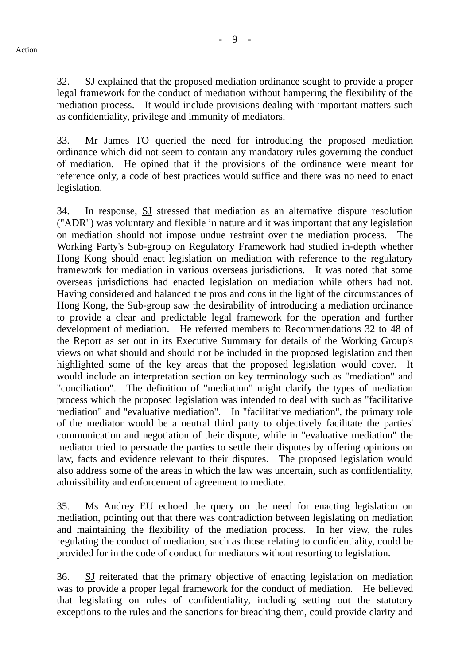- 9 -

32. SJ explained that the proposed mediation ordinance sought to provide a proper legal framework for the conduct of mediation without hampering the flexibility of the mediation process. It would include provisions dealing with important matters such as confidentiality, privilege and immunity of mediators.

33. Mr James TO queried the need for introducing the proposed mediation ordinance which did not seem to contain any mandatory rules governing the conduct of mediation. He opined that if the provisions of the ordinance were meant for reference only, a code of best practices would suffice and there was no need to enact legislation.

34. In response, SJ stressed that mediation as an alternative dispute resolution ("ADR") was voluntary and flexible in nature and it was important that any legislation on mediation should not impose undue restraint over the mediation process. The Working Party's Sub-group on Regulatory Framework had studied in-depth whether Hong Kong should enact legislation on mediation with reference to the regulatory framework for mediation in various overseas jurisdictions. It was noted that some overseas jurisdictions had enacted legislation on mediation while others had not. Having considered and balanced the pros and cons in the light of the circumstances of Hong Kong, the Sub-group saw the desirability of introducing a mediation ordinance to provide a clear and predictable legal framework for the operation and further development of mediation. He referred members to Recommendations 32 to 48 of the Report as set out in its Executive Summary for details of the Working Group's views on what should and should not be included in the proposed legislation and then highlighted some of the key areas that the proposed legislation would cover. It would include an interpretation section on key terminology such as "mediation" and "conciliation". The definition of "mediation" might clarify the types of mediation process which the proposed legislation was intended to deal with such as "facilitative mediation" and "evaluative mediation". In "facilitative mediation", the primary role of the mediator would be a neutral third party to objectively facilitate the parties' communication and negotiation of their dispute, while in "evaluative mediation" the mediator tried to persuade the parties to settle their disputes by offering opinions on law, facts and evidence relevant to their disputes. The proposed legislation would also address some of the areas in which the law was uncertain, such as confidentiality, admissibility and enforcement of agreement to mediate.

35. Ms Audrey EU echoed the query on the need for enacting legislation on mediation, pointing out that there was contradiction between legislating on mediation and maintaining the flexibility of the mediation process. In her view, the rules regulating the conduct of mediation, such as those relating to confidentiality, could be provided for in the code of conduct for mediators without resorting to legislation.

36. SJ reiterated that the primary objective of enacting legislation on mediation was to provide a proper legal framework for the conduct of mediation. He believed that legislating on rules of confidentiality, including setting out the statutory exceptions to the rules and the sanctions for breaching them, could provide clarity and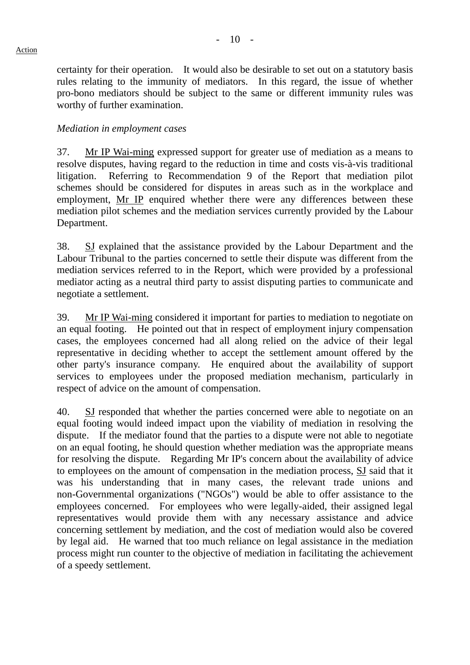certainty for their operation. It would also be desirable to set out on a statutory basis rules relating to the immunity of mediators. In this regard, the issue of whether pro-bono mediators should be subject to the same or different immunity rules was worthy of further examination.

#### *Mediation in employment cases*

37. Mr IP Wai-ming expressed support for greater use of mediation as a means to resolve disputes, having regard to the reduction in time and costs vis-à-vis traditional litigation. Referring to Recommendation 9 of the Report that mediation pilot schemes should be considered for disputes in areas such as in the workplace and employment, Mr IP enquired whether there were any differences between these mediation pilot schemes and the mediation services currently provided by the Labour Department.

38. SJ explained that the assistance provided by the Labour Department and the Labour Tribunal to the parties concerned to settle their dispute was different from the mediation services referred to in the Report, which were provided by a professional mediator acting as a neutral third party to assist disputing parties to communicate and negotiate a settlement.

39. Mr IP Wai-ming considered it important for parties to mediation to negotiate on an equal footing. He pointed out that in respect of employment injury compensation cases, the employees concerned had all along relied on the advice of their legal representative in deciding whether to accept the settlement amount offered by the other party's insurance company. He enquired about the availability of support services to employees under the proposed mediation mechanism, particularly in respect of advice on the amount of compensation.

40. SJ responded that whether the parties concerned were able to negotiate on an equal footing would indeed impact upon the viability of mediation in resolving the dispute. If the mediator found that the parties to a dispute were not able to negotiate on an equal footing, he should question whether mediation was the appropriate means for resolving the dispute. Regarding Mr IP's concern about the availability of advice to employees on the amount of compensation in the mediation process, SJ said that it was his understanding that in many cases, the relevant trade unions and non-Governmental organizations ("NGOs") would be able to offer assistance to the employees concerned. For employees who were legally-aided, their assigned legal representatives would provide them with any necessary assistance and advice concerning settlement by mediation, and the cost of mediation would also be covered by legal aid. He warned that too much reliance on legal assistance in the mediation process might run counter to the objective of mediation in facilitating the achievement of a speedy settlement.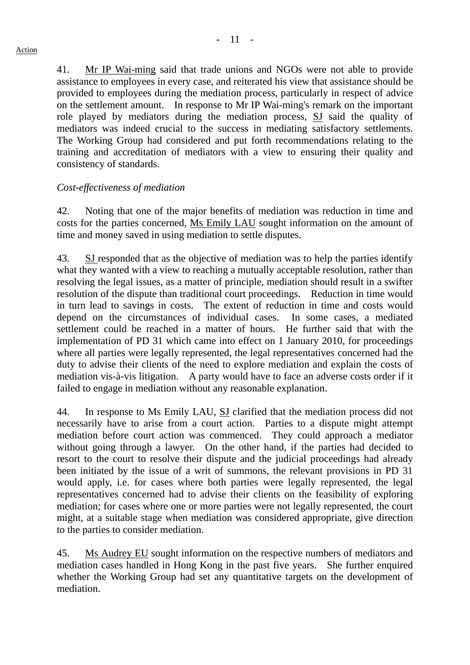41. Mr IP Wai-ming said that trade unions and NGOs were not able to provide assistance to employees in every case, and reiterated his view that assistance should be provided to employees during the mediation process, particularly in respect of advice on the settlement amount. In response to Mr IP Wai-ming's remark on the important role played by mediators during the mediation process, SJ said the quality of mediators was indeed crucial to the success in mediating satisfactory settlements. The Working Group had considered and put forth recommendations relating to the training and accreditation of mediators with a view to ensuring their quality and consistency of standards.

### *Cost-effectiveness of mediation*

42. Noting that one of the major benefits of mediation was reduction in time and costs for the parties concerned, Ms Emily LAU sought information on the amount of time and money saved in using mediation to settle disputes.

43. SJ responded that as the objective of mediation was to help the parties identify what they wanted with a view to reaching a mutually acceptable resolution, rather than resolving the legal issues, as a matter of principle, mediation should result in a swifter resolution of the dispute than traditional court proceedings. Reduction in time would in turn lead to savings in costs. The extent of reduction in time and costs would depend on the circumstances of individual cases. In some cases, a mediated settlement could be reached in a matter of hours. He further said that with the implementation of PD 31 which came into effect on 1 January 2010, for proceedings where all parties were legally represented, the legal representatives concerned had the duty to advise their clients of the need to explore mediation and explain the costs of mediation vis-à-vis litigation. A party would have to face an adverse costs order if it failed to engage in mediation without any reasonable explanation.

44. In response to Ms Emily LAU, SJ clarified that the mediation process did not necessarily have to arise from a court action. Parties to a dispute might attempt mediation before court action was commenced. They could approach a mediator without going through a lawyer. On the other hand, if the parties had decided to resort to the court to resolve their dispute and the judicial proceedings had already been initiated by the issue of a writ of summons, the relevant provisions in PD 31 would apply, i.e. for cases where both parties were legally represented, the legal representatives concerned had to advise their clients on the feasibility of exploring mediation; for cases where one or more parties were not legally represented, the court might, at a suitable stage when mediation was considered appropriate, give direction to the parties to consider mediation.

45. Ms Audrey EU sought information on the respective numbers of mediators and mediation cases handled in Hong Kong in the past five years. She further enquired whether the Working Group had set any quantitative targets on the development of mediation.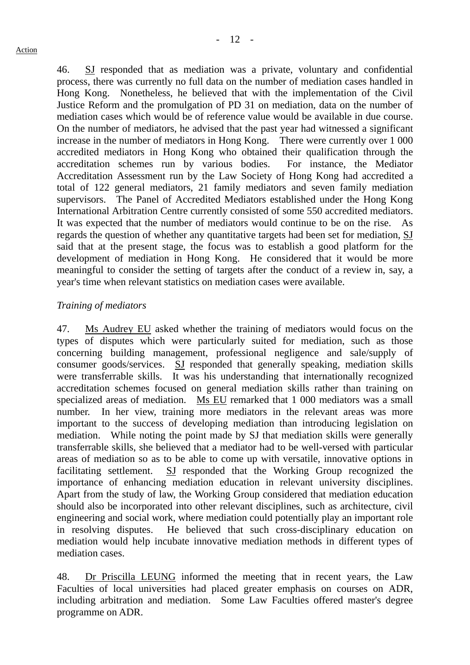46. SJ responded that as mediation was a private, voluntary and confidential process, there was currently no full data on the number of mediation cases handled in Hong Kong. Nonetheless, he believed that with the implementation of the Civil Justice Reform and the promulgation of PD 31 on mediation, data on the number of mediation cases which would be of reference value would be available in due course. On the number of mediators, he advised that the past year had witnessed a significant increase in the number of mediators in Hong Kong. There were currently over 1 000 accredited mediators in Hong Kong who obtained their qualification through the accreditation schemes run by various bodies. For instance, the Mediator Accreditation Assessment run by the Law Society of Hong Kong had accredited a total of 122 general mediators, 21 family mediators and seven family mediation supervisors. The Panel of Accredited Mediators established under the Hong Kong International Arbitration Centre currently consisted of some 550 accredited mediators. It was expected that the number of mediators would continue to be on the rise. As regards the question of whether any quantitative targets had been set for mediation, SJ said that at the present stage, the focus was to establish a good platform for the development of mediation in Hong Kong. He considered that it would be more meaningful to consider the setting of targets after the conduct of a review in, say, a year's time when relevant statistics on mediation cases were available.

### *Training of mediators*

47. Ms Audrey EU asked whether the training of mediators would focus on the types of disputes which were particularly suited for mediation, such as those concerning building management, professional negligence and sale/supply of consumer goods/services. SJ responded that generally speaking, mediation skills were transferrable skills. It was his understanding that internationally recognized accreditation schemes focused on general mediation skills rather than training on specialized areas of mediation. Ms EU remarked that 1 000 mediators was a small number. In her view, training more mediators in the relevant areas was more important to the success of developing mediation than introducing legislation on mediation. While noting the point made by SJ that mediation skills were generally transferrable skills, she believed that a mediator had to be well-versed with particular areas of mediation so as to be able to come up with versatile, innovative options in facilitating settlement. SJ responded that the Working Group recognized the importance of enhancing mediation education in relevant university disciplines. Apart from the study of law, the Working Group considered that mediation education should also be incorporated into other relevant disciplines, such as architecture, civil engineering and social work, where mediation could potentially play an important role in resolving disputes. He believed that such cross-disciplinary education on mediation would help incubate innovative mediation methods in different types of mediation cases.

48. Dr Priscilla LEUNG informed the meeting that in recent years, the Law Faculties of local universities had placed greater emphasis on courses on ADR, including arbitration and mediation. Some Law Faculties offered master's degree programme on ADR.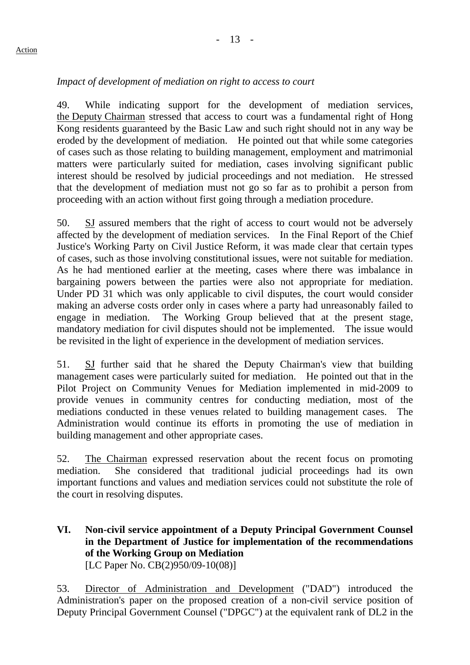# *Impact of development of mediation on right to access to court*

49. While indicating support for the development of mediation services, the Deputy Chairman stressed that access to court was a fundamental right of Hong Kong residents guaranteed by the Basic Law and such right should not in any way be eroded by the development of mediation. He pointed out that while some categories of cases such as those relating to building management, employment and matrimonial matters were particularly suited for mediation, cases involving significant public interest should be resolved by judicial proceedings and not mediation. He stressed that the development of mediation must not go so far as to prohibit a person from proceeding with an action without first going through a mediation procedure.

50. SJ assured members that the right of access to court would not be adversely affected by the development of mediation services. In the Final Report of the Chief Justice's Working Party on Civil Justice Reform, it was made clear that certain types of cases, such as those involving constitutional issues, were not suitable for mediation. As he had mentioned earlier at the meeting, cases where there was imbalance in bargaining powers between the parties were also not appropriate for mediation. Under PD 31 which was only applicable to civil disputes, the court would consider making an adverse costs order only in cases where a party had unreasonably failed to engage in mediation. The Working Group believed that at the present stage, mandatory mediation for civil disputes should not be implemented. The issue would be revisited in the light of experience in the development of mediation services.

51. SJ further said that he shared the Deputy Chairman's view that building management cases were particularly suited for mediation. He pointed out that in the Pilot Project on Community Venues for Mediation implemented in mid-2009 to provide venues in community centres for conducting mediation, most of the mediations conducted in these venues related to building management cases. The Administration would continue its efforts in promoting the use of mediation in building management and other appropriate cases.

52. The Chairman expressed reservation about the recent focus on promoting mediation. She considered that traditional judicial proceedings had its own important functions and values and mediation services could not substitute the role of the court in resolving disputes.

## **VI. Non-civil service appointment of a Deputy Principal Government Counsel in the Department of Justice for implementation of the recommendations of the Working Group on Mediation**  [LC Paper No. CB(2)950/09-10(08)]

53. Director of Administration and Development ("DAD") introduced the Administration's paper on the proposed creation of a non-civil service position of Deputy Principal Government Counsel ("DPGC") at the equivalent rank of DL2 in the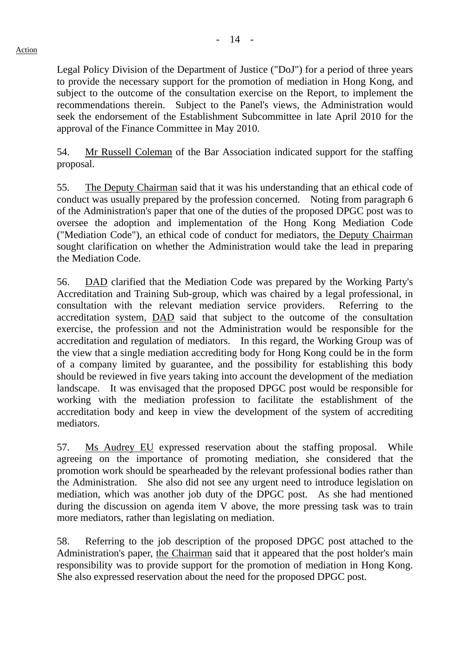Legal Policy Division of the Department of Justice ("DoJ") for a period of three years to provide the necessary support for the promotion of mediation in Hong Kong, and subject to the outcome of the consultation exercise on the Report, to implement the recommendations therein. Subject to the Panel's views, the Administration would seek the endorsement of the Establishment Subcommittee in late April 2010 for the approval of the Finance Committee in May 2010.

54. Mr Russell Coleman of the Bar Association indicated support for the staffing proposal.

55. The Deputy Chairman said that it was his understanding that an ethical code of conduct was usually prepared by the profession concerned. Noting from paragraph 6 of the Administration's paper that one of the duties of the proposed DPGC post was to oversee the adoption and implementation of the Hong Kong Mediation Code ("Mediation Code"), an ethical code of conduct for mediators, the Deputy Chairman sought clarification on whether the Administration would take the lead in preparing the Mediation Code.

56. DAD clarified that the Mediation Code was prepared by the Working Party's Accreditation and Training Sub-group, which was chaired by a legal professional, in consultation with the relevant mediation service providers. Referring to the accreditation system, DAD said that subject to the outcome of the consultation exercise, the profession and not the Administration would be responsible for the accreditation and regulation of mediators. In this regard, the Working Group was of the view that a single mediation accrediting body for Hong Kong could be in the form of a company limited by guarantee, and the possibility for establishing this body should be reviewed in five years taking into account the development of the mediation landscape. It was envisaged that the proposed DPGC post would be responsible for working with the mediation profession to facilitate the establishment of the accreditation body and keep in view the development of the system of accrediting mediators.

57. Ms Audrey EU expressed reservation about the staffing proposal. While agreeing on the importance of promoting mediation, she considered that the promotion work should be spearheaded by the relevant professional bodies rather than the Administration. She also did not see any urgent need to introduce legislation on mediation, which was another job duty of the DPGC post. As she had mentioned during the discussion on agenda item V above, the more pressing task was to train more mediators, rather than legislating on mediation.

58. Referring to the job description of the proposed DPGC post attached to the Administration's paper, the Chairman said that it appeared that the post holder's main responsibility was to provide support for the promotion of mediation in Hong Kong. She also expressed reservation about the need for the proposed DPGC post.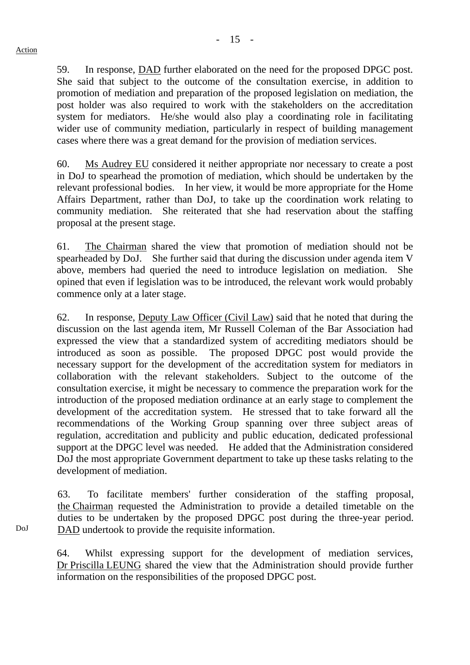DoJ

59. In response, DAD further elaborated on the need for the proposed DPGC post. She said that subject to the outcome of the consultation exercise, in addition to promotion of mediation and preparation of the proposed legislation on mediation, the post holder was also required to work with the stakeholders on the accreditation system for mediators. He/she would also play a coordinating role in facilitating wider use of community mediation, particularly in respect of building management cases where there was a great demand for the provision of mediation services.

60. Ms Audrey EU considered it neither appropriate nor necessary to create a post in DoJ to spearhead the promotion of mediation, which should be undertaken by the relevant professional bodies. In her view, it would be more appropriate for the Home Affairs Department, rather than DoJ, to take up the coordination work relating to community mediation. She reiterated that she had reservation about the staffing proposal at the present stage.

61. The Chairman shared the view that promotion of mediation should not be spearheaded by DoJ. She further said that during the discussion under agenda item V above, members had queried the need to introduce legislation on mediation. She opined that even if legislation was to be introduced, the relevant work would probably commence only at a later stage.

62. In response, Deputy Law Officer (Civil Law) said that he noted that during the discussion on the last agenda item, Mr Russell Coleman of the Bar Association had expressed the view that a standardized system of accrediting mediators should be introduced as soon as possible. The proposed DPGC post would provide the necessary support for the development of the accreditation system for mediators in collaboration with the relevant stakeholders. Subject to the outcome of the consultation exercise, it might be necessary to commence the preparation work for the introduction of the proposed mediation ordinance at an early stage to complement the development of the accreditation system. He stressed that to take forward all the recommendations of the Working Group spanning over three subject areas of regulation, accreditation and publicity and public education, dedicated professional support at the DPGC level was needed. He added that the Administration considered DoJ the most appropriate Government department to take up these tasks relating to the development of mediation.

63. To facilitate members' further consideration of the staffing proposal, the Chairman requested the Administration to provide a detailed timetable on the duties to be undertaken by the proposed DPGC post during the three-year period. DAD undertook to provide the requisite information.

64. Whilst expressing support for the development of mediation services, Dr Priscilla LEUNG shared the view that the Administration should provide further information on the responsibilities of the proposed DPGC post.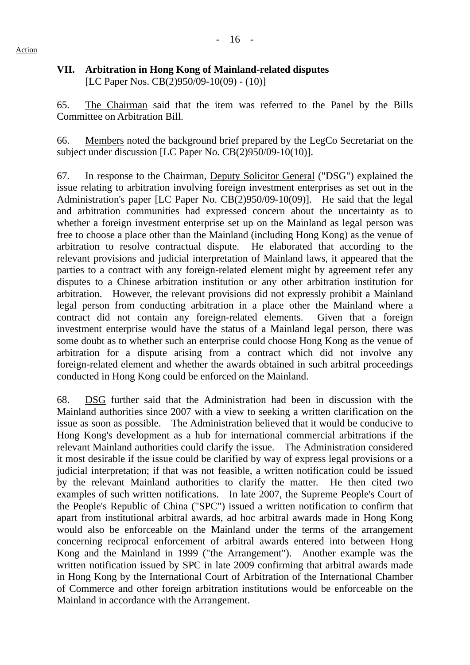#### **VII. Arbitration in Hong Kong of Mainland-related disputes**  [LC Paper Nos. CB(2)950/09-10(09) - (10)]

65. The Chairman said that the item was referred to the Panel by the Bills Committee on Arbitration Bill.

66. Members noted the background brief prepared by the LegCo Secretariat on the subject under discussion [LC Paper No. CB(2)950/09-10(10)].

67. In response to the Chairman, Deputy Solicitor General ("DSG") explained the issue relating to arbitration involving foreign investment enterprises as set out in the Administration's paper [LC Paper No. CB(2)950/09-10(09)]. He said that the legal and arbitration communities had expressed concern about the uncertainty as to whether a foreign investment enterprise set up on the Mainland as legal person was free to choose a place other than the Mainland (including Hong Kong) as the venue of arbitration to resolve contractual dispute. He elaborated that according to the relevant provisions and judicial interpretation of Mainland laws, it appeared that the parties to a contract with any foreign-related element might by agreement refer any disputes to a Chinese arbitration institution or any other arbitration institution for arbitration. However, the relevant provisions did not expressly prohibit a Mainland legal person from conducting arbitration in a place other the Mainland where a contract did not contain any foreign-related elements. Given that a foreign investment enterprise would have the status of a Mainland legal person, there was some doubt as to whether such an enterprise could choose Hong Kong as the venue of arbitration for a dispute arising from a contract which did not involve any foreign-related element and whether the awards obtained in such arbitral proceedings conducted in Hong Kong could be enforced on the Mainland.

68. DSG further said that the Administration had been in discussion with the Mainland authorities since 2007 with a view to seeking a written clarification on the issue as soon as possible. The Administration believed that it would be conducive to Hong Kong's development as a hub for international commercial arbitrations if the relevant Mainland authorities could clarify the issue. The Administration considered it most desirable if the issue could be clarified by way of express legal provisions or a judicial interpretation; if that was not feasible, a written notification could be issued by the relevant Mainland authorities to clarify the matter. He then cited two examples of such written notifications. In late 2007, the Supreme People's Court of the People's Republic of China ("SPC") issued a written notification to confirm that apart from institutional arbitral awards, ad hoc arbitral awards made in Hong Kong would also be enforceable on the Mainland under the terms of the arrangement concerning reciprocal enforcement of arbitral awards entered into between Hong Kong and the Mainland in 1999 ("the Arrangement"). Another example was the written notification issued by SPC in late 2009 confirming that arbitral awards made in Hong Kong by the International Court of Arbitration of the International Chamber of Commerce and other foreign arbitration institutions would be enforceable on the Mainland in accordance with the Arrangement.